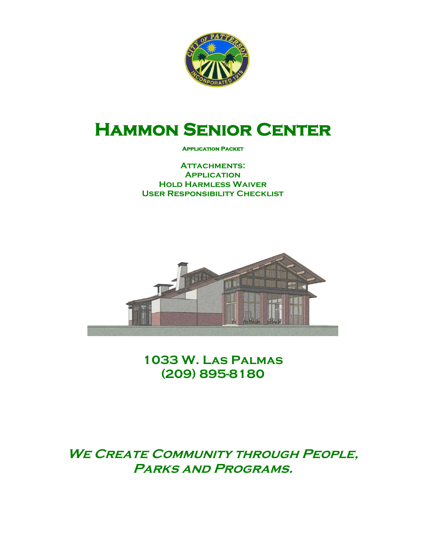

# **Hammon Senior Center**

#### **Application Packet**

**Attachments: Application Hold Harmless Waiver User Responsibility Checklist**



**1033 W. Las Palmas (209) 895-8180**

**WE CREATE COMMUNITY THROUGH PEOPLE, Parks and Programs.**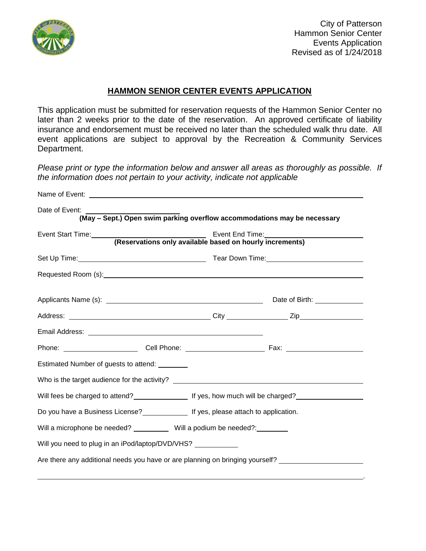

.

## **HAMMON SENIOR CENTER EVENTS APPLICATION**

This application must be submitted for reservation requests of the Hammon Senior Center no later than 2 weeks prior to the date of the reservation. An approved certificate of liability insurance and endorsement must be received no later than the scheduled walk thru date. All event applications are subject to approval by the Recreation & Community Services Department.

*Please print or type the information below and answer all areas as thoroughly as possible. If the information does not pertain to your activity, indicate not applicable* 

| Date of Event:                                                                                        |  |  | (May - Sept.) Open swim parking overflow accommodations may be necessary                            |
|-------------------------------------------------------------------------------------------------------|--|--|-----------------------------------------------------------------------------------------------------|
| Event Start Time: <b>Event Start Time</b><br>(Reservations only available based on hourly increments) |  |  | Event End Time:<br><u> Event End Time:</u>                                                          |
|                                                                                                       |  |  |                                                                                                     |
|                                                                                                       |  |  |                                                                                                     |
|                                                                                                       |  |  |                                                                                                     |
|                                                                                                       |  |  |                                                                                                     |
|                                                                                                       |  |  |                                                                                                     |
|                                                                                                       |  |  |                                                                                                     |
| Estimated Number of guests to attend: ________                                                        |  |  |                                                                                                     |
| Who is the target audience for the activity? ___________________________________                      |  |  |                                                                                                     |
|                                                                                                       |  |  | Will fees be charged to attend?<br>Let yes, how much will be charged?                               |
| Do you have a Business License?<br><u> Letter Manaschi the set and the application</u> .              |  |  |                                                                                                     |
| Will a microphone be needed? ___________ Will a podium be needed?: ________                           |  |  |                                                                                                     |
| Will you need to plug in an iPod/laptop/DVD/VHS? ____________                                         |  |  |                                                                                                     |
|                                                                                                       |  |  | Are there any additional needs you have or are planning on bringing yourself? _____________________ |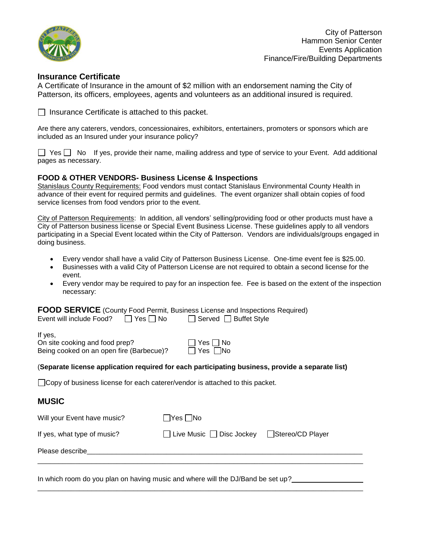

City of Patterson Hammon Senior Center Events Application Finance/Fire/Building Departments

#### **Insurance Certificate**

A Certificate of Insurance in the amount of \$2 million with an endorsement naming the City of Patterson, its officers, employees, agents and volunteers as an additional insured is required.

 $\Box$  Insurance Certificate is attached to this packet.

Are there any caterers, vendors, concessionaires, exhibitors, entertainers, promoters or sponsors which are included as an Insured under your insurance policy?

 $\Box$  Yes  $\Box$  No If yes, provide their name, mailing address and type of service to your Event. Add additional pages as necessary.

#### **FOOD & OTHER VENDORS- Business License & Inspections**

Stanislaus County Requirements: Food vendors must contact Stanislaus Environmental County Health in advance of their event for required permits and guidelines. The event organizer shall obtain copies of food service licenses from food vendors prior to the event.

City of Patterson Requirements: In addition, all vendors' selling/providing food or other products must have a City of Patterson business license or Special Event Business License. These guidelines apply to all vendors participating in a Special Event located within the City of Patterson. Vendors are individuals/groups engaged in doing business.

- Every vendor shall have a valid City of Patterson Business License. One-time event fee is \$25.00.
- Businesses with a valid City of Patterson License are not required to obtain a second license for the event.
- Every vendor may be required to pay for an inspection fee. Fee is based on the extent of the inspection necessary:

**FOOD SERVICE** (County Food Permit, Business License and Inspections Required) Event will include Food?  $\Box$  Yes  $\Box$  No  $\Box$  Served  $\Box$  Buffet Style

If yes,

On site cooking and food prep?  $\Box$  Yes  $\Box$  No Being cooked on an open fire (Barbecue)? <br> Pes No

#### (**Separate license application required for each participating business, provide a separate list)**

□ Copy of business license for each caterer/vendor is attached to this packet.

### **MUSIC**

| Will your Event have music? | $\Box$ Yes $\Box$ No                 |                  |
|-----------------------------|--------------------------------------|------------------|
| If yes, what type of music? | $\Box$ Live Music $\Box$ Disc Jockey | Stereo/CD Player |
| Please describe             |                                      |                  |

\_\_\_\_\_\_\_\_\_\_\_\_\_\_\_\_\_\_\_\_\_\_\_\_\_\_\_\_\_\_\_\_\_\_\_\_\_\_\_\_\_\_\_\_\_\_\_\_\_\_\_\_\_\_\_\_\_\_\_\_\_\_\_\_\_\_\_\_\_\_\_\_\_\_\_\_\_\_

In which room do you plan on having music and where will the DJ/Band be set up?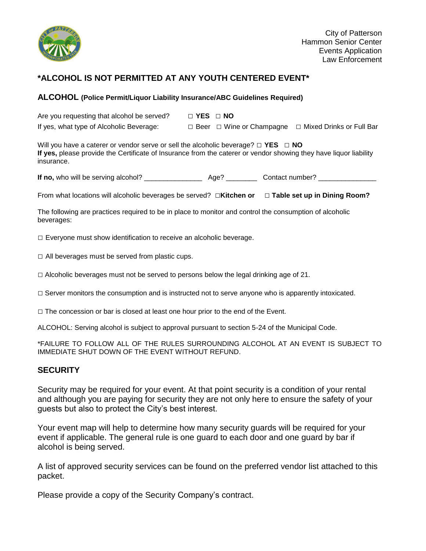

## **\*ALCOHOL IS NOT PERMITTED AT ANY YOUTH CENTERED EVENT\***

#### **ALCOHOL (Police Permit/Liquor Liability Insurance/ABC Guidelines Required)**

Are you requesting that alcohol be served? □ **YES** □ **NO**  If yes, what type of Alcoholic Beverage: □ Beer □ Wine or Champagne □ Mixed Drinks or Full Bar

Will you have a caterer or vendor serve or sell the alcoholic beverage? □ **YES** □ **NO If yes,** please provide the Certificate of Insurance from the caterer or vendor showing they have liquor liability insurance.

**If no,** who will be serving alcohol? \_\_\_\_\_\_\_\_\_\_\_\_\_\_\_ Age? \_\_\_\_\_\_\_\_Contact number? \_\_\_\_\_\_\_\_\_\_\_\_\_\_\_

From what locations will alcoholic beverages be served? □**Kitchen or** □ **Table set up in Dining Room?**

The following are practices required to be in place to monitor and control the consumption of alcoholic beverages:

 $\square$  Everyone must show identification to receive an alcoholic beverage.

 $\square$  All beverages must be served from plastic cups.

 $\Box$  Alcoholic beverages must not be served to persons below the legal drinking age of 21.

 $\Box$  Server monitors the consumption and is instructed not to serve anyone who is apparently intoxicated.

 $\Box$  The concession or bar is closed at least one hour prior to the end of the Event.

ALCOHOL: Serving alcohol is subject to approval pursuant to section 5-24 of the Municipal Code.

\*FAILURE TO FOLLOW ALL OF THE RULES SURROUNDING ALCOHOL AT AN EVENT IS SUBJECT TO IMMEDIATE SHUT DOWN OF THE EVENT WITHOUT REFUND.

### **SECURITY**

Security may be required for your event. At that point security is a condition of your rental and although you are paying for security they are not only here to ensure the safety of your guests but also to protect the City's best interest.

Your event map will help to determine how many security guards will be required for your event if applicable. The general rule is one guard to each door and one guard by bar if alcohol is being served.

A list of approved security services can be found on the preferred vendor list attached to this packet.

Please provide a copy of the Security Company's contract.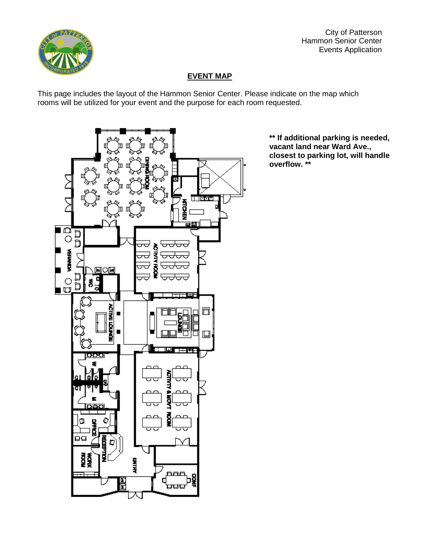

City of Patterson Hammon Senior Center Events Application

## **EVENT MAP**

This page includes the layout of the Hammon Senior Center. Please indicate on the map which rooms will be utilized for your event and the purpose for each room requested.



**\*\* If additional parking is needed, vacant land near Ward Ave., closest to parking lot, will handle overflow. \*\***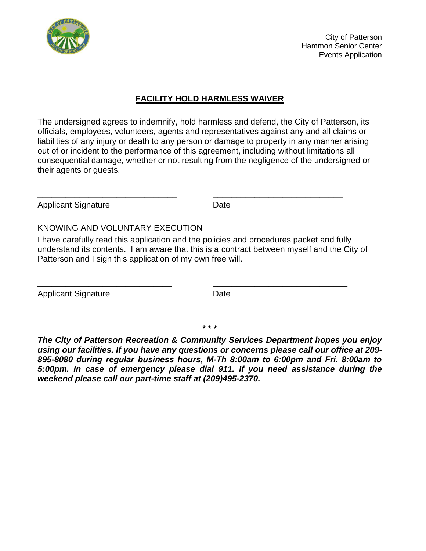

City of Patterson Hammon Senior Center Events Application

## **FACILITY HOLD HARMLESS WAIVER**

The undersigned agrees to indemnify, hold harmless and defend, the City of Patterson, its officials, employees, volunteers, agents and representatives against any and all claims or liabilities of any injury or death to any person or damage to property in any manner arising out of or incident to the performance of this agreement, including without limitations all consequential damage, whether or not resulting from the negligence of the undersigned or their agents or guests.

Applicant Signature Date

### KNOWING AND VOLUNTARY EXECUTION

I have carefully read this application and the policies and procedures packet and fully understand its contents. I am aware that this is a contract between myself and the City of Patterson and I sign this application of my own free will.

\_\_\_\_\_\_\_\_\_\_\_\_\_\_\_\_\_\_\_\_\_\_\_\_\_\_\_\_\_ \_\_\_\_\_\_\_\_\_\_\_\_\_\_\_\_\_\_\_\_\_\_\_\_\_\_\_\_\_

 $\overline{\phantom{a}}$  , and the contract of the contract of the contract of the contract of the contract of the contract of the contract of the contract of the contract of the contract of the contract of the contract of the contrac

Applicant Signature Date

**\* \* \***

*The City of Patterson Recreation & Community Services Department hopes you enjoy using our facilities. If you have any questions or concerns please call our office at 209- 895-8080 during regular business hours, M-Th 8:00am to 6:00pm and Fri. 8:00am to 5:00pm. In case of emergency please dial 911. If you need assistance during the weekend please call our part-time staff at (209)495-2370.*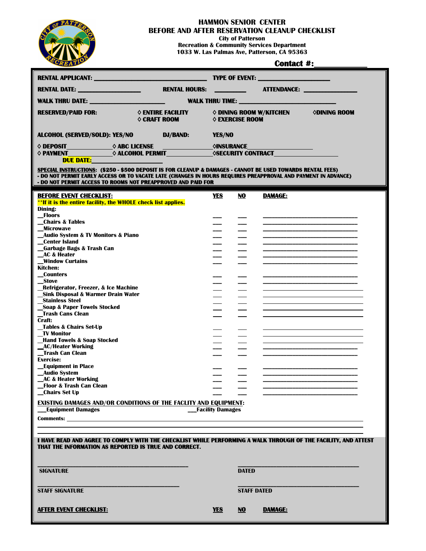

## **HAMMON SENIOR CENTER**

**BEFORE AND AFTER RESERVATION CLEANUP CHECKLIST**

**City of Patterson**

**Recreation & Community Services Department 1033 W. Las Palmas Ave, Patterson, CA 95363**

| <b>TYPE OF EVENT:</b> ________________________<br>ATTENDANCE:<br>RENTAL DATE: ___________________<br><b>RENTAL HOURS:</b><br><b>WALK THRU DATE:</b> NAMEL AND RESERVE THE RESERVE THE RESERVE THE RESERVE THE RESERVE THE RESERVE THE RESERVE THE RESERVE THE RESERVE THAT A VEHICLE THE RESERVE THAT A VEHICLE THE RESERVE THAT A VEHICLE THE RESERVE THAT A VE<br>$\diamond$ entire facility<br>♦ DINING ROOM W/KITCHEN<br><b>ODINING ROOM</b><br><b>RESERVED/PAID FOR:</b><br><b>♦ CRAFT ROOM</b><br>♦ EXERCISE ROOM<br><b>ALCOHOL (SERVED/SOLD): YES/NO</b><br><b>DJ/BAND:</b><br>YES/NO<br>$\diamond$ PAYMENT $\qquad \diamond$ ALCOHOL PERMIT $\diamond$ SECURITY CONTRACT<br><b>DUE DATE:</b><br>SPECIAL INSTRUCTIONS: (\$250 - \$500 DEPOSIT IS FOR CLEANUP & DAMAGES - CANNOT BE USED TOWARDS RENTAL FEES)<br>- DO NOT PERMIT EARLY ACCESS OR TO VACATE LATE (CHANGES IN HOURS REQUIRES PREAPPROVAL AND PAYMENT IN ADVANCE)<br>- DO NOT PERMIT ACCESS TO ROOMS NOT PREAPPROVED AND PAID FOR<br><b>BEFORE EVENT CHECKLIST:</b><br><b>YES</b><br>NO.<br><b>DAMAGE:</b><br>**If it is the entire facility, the WHOLE check list applies.<br>Dining:<br>_Floors<br><b>Chairs &amp; Tables</b><br>Microwave<br>_Audio System & TV Monitors & Piano<br><b>Center Island</b><br>Garbage Bags & Trash Can<br><b>AC &amp; Heater</b><br><b>Window Curtains</b><br>Kitchen:<br>Counters<br>__Stove<br>Refrigerator, Freezer, & Ice Machine<br><b>Sink Disposal &amp; Warmer Drain Water</b><br>Stainless Steel<br>_Soap & Paper Towels Stocked<br><b>Trash Cans Clean</b><br>Craft:<br>Tables & Chairs Set-Up<br><b>TV Monitor</b><br><b>Hand Towels &amp; Soap Stocked</b><br>AC/Heater Working<br><b>Trash Can Clean</b><br><b>Exercise:</b><br><b>Equipment in Place</b><br><b>Audio System</b><br><b>LAC &amp; Heater Working</b><br><b>Floor &amp; Trash Can Clean</b><br>Chairs Set Up<br><b>EXISTING DAMAGES AND/OR CONDITIONS OF THE FACLITY AND EQUIPMENT:</b><br><b>Equipment Damages</b><br><b>Facility Damages</b><br><b>Comments:</b> the comments of the community of the community of the community of the community of the community of the community of the community of the community of the community of the community of the community of the com<br>I HAVE READ AND AGREE TO COMPLY WITH THE CHECKLIST WHILE PERFORMING A WALK THROUGH OF THE FACILITY, AND ATTEST<br>THAT THE INFORMATION AS REPORTED IS TRUE AND CORRECT.<br><b>SIGNATURE</b><br><b>DATED</b><br><b>STAFF SIGNATURE</b><br><b>STAFF DATED</b><br><b>AFTER EVENT CHECKLIST:</b><br><b>YES</b><br><b>DAMAGE:</b><br>NO | CREATION |  | <b>Contact #:</b> |  |  |  |  |
|------------------------------------------------------------------------------------------------------------------------------------------------------------------------------------------------------------------------------------------------------------------------------------------------------------------------------------------------------------------------------------------------------------------------------------------------------------------------------------------------------------------------------------------------------------------------------------------------------------------------------------------------------------------------------------------------------------------------------------------------------------------------------------------------------------------------------------------------------------------------------------------------------------------------------------------------------------------------------------------------------------------------------------------------------------------------------------------------------------------------------------------------------------------------------------------------------------------------------------------------------------------------------------------------------------------------------------------------------------------------------------------------------------------------------------------------------------------------------------------------------------------------------------------------------------------------------------------------------------------------------------------------------------------------------------------------------------------------------------------------------------------------------------------------------------------------------------------------------------------------------------------------------------------------------------------------------------------------------------------------------------------------------------------------------------------------------------------------------------------------------------------------------------------------------------------------------------------------------------------------------------------------------------------------------------------------------------------------------------------------------------------------------------------------------------------------------------------------------------------------------------------------------------------------------------------------------------------------------------|----------|--|-------------------|--|--|--|--|
|                                                                                                                                                                                                                                                                                                                                                                                                                                                                                                                                                                                                                                                                                                                                                                                                                                                                                                                                                                                                                                                                                                                                                                                                                                                                                                                                                                                                                                                                                                                                                                                                                                                                                                                                                                                                                                                                                                                                                                                                                                                                                                                                                                                                                                                                                                                                                                                                                                                                                                                                                                                                            |          |  |                   |  |  |  |  |
|                                                                                                                                                                                                                                                                                                                                                                                                                                                                                                                                                                                                                                                                                                                                                                                                                                                                                                                                                                                                                                                                                                                                                                                                                                                                                                                                                                                                                                                                                                                                                                                                                                                                                                                                                                                                                                                                                                                                                                                                                                                                                                                                                                                                                                                                                                                                                                                                                                                                                                                                                                                                            |          |  |                   |  |  |  |  |
|                                                                                                                                                                                                                                                                                                                                                                                                                                                                                                                                                                                                                                                                                                                                                                                                                                                                                                                                                                                                                                                                                                                                                                                                                                                                                                                                                                                                                                                                                                                                                                                                                                                                                                                                                                                                                                                                                                                                                                                                                                                                                                                                                                                                                                                                                                                                                                                                                                                                                                                                                                                                            |          |  |                   |  |  |  |  |
|                                                                                                                                                                                                                                                                                                                                                                                                                                                                                                                                                                                                                                                                                                                                                                                                                                                                                                                                                                                                                                                                                                                                                                                                                                                                                                                                                                                                                                                                                                                                                                                                                                                                                                                                                                                                                                                                                                                                                                                                                                                                                                                                                                                                                                                                                                                                                                                                                                                                                                                                                                                                            |          |  |                   |  |  |  |  |
|                                                                                                                                                                                                                                                                                                                                                                                                                                                                                                                                                                                                                                                                                                                                                                                                                                                                                                                                                                                                                                                                                                                                                                                                                                                                                                                                                                                                                                                                                                                                                                                                                                                                                                                                                                                                                                                                                                                                                                                                                                                                                                                                                                                                                                                                                                                                                                                                                                                                                                                                                                                                            |          |  |                   |  |  |  |  |
|                                                                                                                                                                                                                                                                                                                                                                                                                                                                                                                                                                                                                                                                                                                                                                                                                                                                                                                                                                                                                                                                                                                                                                                                                                                                                                                                                                                                                                                                                                                                                                                                                                                                                                                                                                                                                                                                                                                                                                                                                                                                                                                                                                                                                                                                                                                                                                                                                                                                                                                                                                                                            |          |  |                   |  |  |  |  |
|                                                                                                                                                                                                                                                                                                                                                                                                                                                                                                                                                                                                                                                                                                                                                                                                                                                                                                                                                                                                                                                                                                                                                                                                                                                                                                                                                                                                                                                                                                                                                                                                                                                                                                                                                                                                                                                                                                                                                                                                                                                                                                                                                                                                                                                                                                                                                                                                                                                                                                                                                                                                            |          |  |                   |  |  |  |  |
|                                                                                                                                                                                                                                                                                                                                                                                                                                                                                                                                                                                                                                                                                                                                                                                                                                                                                                                                                                                                                                                                                                                                                                                                                                                                                                                                                                                                                                                                                                                                                                                                                                                                                                                                                                                                                                                                                                                                                                                                                                                                                                                                                                                                                                                                                                                                                                                                                                                                                                                                                                                                            |          |  |                   |  |  |  |  |
|                                                                                                                                                                                                                                                                                                                                                                                                                                                                                                                                                                                                                                                                                                                                                                                                                                                                                                                                                                                                                                                                                                                                                                                                                                                                                                                                                                                                                                                                                                                                                                                                                                                                                                                                                                                                                                                                                                                                                                                                                                                                                                                                                                                                                                                                                                                                                                                                                                                                                                                                                                                                            |          |  |                   |  |  |  |  |
|                                                                                                                                                                                                                                                                                                                                                                                                                                                                                                                                                                                                                                                                                                                                                                                                                                                                                                                                                                                                                                                                                                                                                                                                                                                                                                                                                                                                                                                                                                                                                                                                                                                                                                                                                                                                                                                                                                                                                                                                                                                                                                                                                                                                                                                                                                                                                                                                                                                                                                                                                                                                            |          |  |                   |  |  |  |  |
|                                                                                                                                                                                                                                                                                                                                                                                                                                                                                                                                                                                                                                                                                                                                                                                                                                                                                                                                                                                                                                                                                                                                                                                                                                                                                                                                                                                                                                                                                                                                                                                                                                                                                                                                                                                                                                                                                                                                                                                                                                                                                                                                                                                                                                                                                                                                                                                                                                                                                                                                                                                                            |          |  |                   |  |  |  |  |
|                                                                                                                                                                                                                                                                                                                                                                                                                                                                                                                                                                                                                                                                                                                                                                                                                                                                                                                                                                                                                                                                                                                                                                                                                                                                                                                                                                                                                                                                                                                                                                                                                                                                                                                                                                                                                                                                                                                                                                                                                                                                                                                                                                                                                                                                                                                                                                                                                                                                                                                                                                                                            |          |  |                   |  |  |  |  |
|                                                                                                                                                                                                                                                                                                                                                                                                                                                                                                                                                                                                                                                                                                                                                                                                                                                                                                                                                                                                                                                                                                                                                                                                                                                                                                                                                                                                                                                                                                                                                                                                                                                                                                                                                                                                                                                                                                                                                                                                                                                                                                                                                                                                                                                                                                                                                                                                                                                                                                                                                                                                            |          |  |                   |  |  |  |  |
|                                                                                                                                                                                                                                                                                                                                                                                                                                                                                                                                                                                                                                                                                                                                                                                                                                                                                                                                                                                                                                                                                                                                                                                                                                                                                                                                                                                                                                                                                                                                                                                                                                                                                                                                                                                                                                                                                                                                                                                                                                                                                                                                                                                                                                                                                                                                                                                                                                                                                                                                                                                                            |          |  |                   |  |  |  |  |
|                                                                                                                                                                                                                                                                                                                                                                                                                                                                                                                                                                                                                                                                                                                                                                                                                                                                                                                                                                                                                                                                                                                                                                                                                                                                                                                                                                                                                                                                                                                                                                                                                                                                                                                                                                                                                                                                                                                                                                                                                                                                                                                                                                                                                                                                                                                                                                                                                                                                                                                                                                                                            |          |  |                   |  |  |  |  |
|                                                                                                                                                                                                                                                                                                                                                                                                                                                                                                                                                                                                                                                                                                                                                                                                                                                                                                                                                                                                                                                                                                                                                                                                                                                                                                                                                                                                                                                                                                                                                                                                                                                                                                                                                                                                                                                                                                                                                                                                                                                                                                                                                                                                                                                                                                                                                                                                                                                                                                                                                                                                            |          |  |                   |  |  |  |  |
|                                                                                                                                                                                                                                                                                                                                                                                                                                                                                                                                                                                                                                                                                                                                                                                                                                                                                                                                                                                                                                                                                                                                                                                                                                                                                                                                                                                                                                                                                                                                                                                                                                                                                                                                                                                                                                                                                                                                                                                                                                                                                                                                                                                                                                                                                                                                                                                                                                                                                                                                                                                                            |          |  |                   |  |  |  |  |
|                                                                                                                                                                                                                                                                                                                                                                                                                                                                                                                                                                                                                                                                                                                                                                                                                                                                                                                                                                                                                                                                                                                                                                                                                                                                                                                                                                                                                                                                                                                                                                                                                                                                                                                                                                                                                                                                                                                                                                                                                                                                                                                                                                                                                                                                                                                                                                                                                                                                                                                                                                                                            |          |  |                   |  |  |  |  |
|                                                                                                                                                                                                                                                                                                                                                                                                                                                                                                                                                                                                                                                                                                                                                                                                                                                                                                                                                                                                                                                                                                                                                                                                                                                                                                                                                                                                                                                                                                                                                                                                                                                                                                                                                                                                                                                                                                                                                                                                                                                                                                                                                                                                                                                                                                                                                                                                                                                                                                                                                                                                            |          |  |                   |  |  |  |  |
|                                                                                                                                                                                                                                                                                                                                                                                                                                                                                                                                                                                                                                                                                                                                                                                                                                                                                                                                                                                                                                                                                                                                                                                                                                                                                                                                                                                                                                                                                                                                                                                                                                                                                                                                                                                                                                                                                                                                                                                                                                                                                                                                                                                                                                                                                                                                                                                                                                                                                                                                                                                                            |          |  |                   |  |  |  |  |
|                                                                                                                                                                                                                                                                                                                                                                                                                                                                                                                                                                                                                                                                                                                                                                                                                                                                                                                                                                                                                                                                                                                                                                                                                                                                                                                                                                                                                                                                                                                                                                                                                                                                                                                                                                                                                                                                                                                                                                                                                                                                                                                                                                                                                                                                                                                                                                                                                                                                                                                                                                                                            |          |  |                   |  |  |  |  |
|                                                                                                                                                                                                                                                                                                                                                                                                                                                                                                                                                                                                                                                                                                                                                                                                                                                                                                                                                                                                                                                                                                                                                                                                                                                                                                                                                                                                                                                                                                                                                                                                                                                                                                                                                                                                                                                                                                                                                                                                                                                                                                                                                                                                                                                                                                                                                                                                                                                                                                                                                                                                            |          |  |                   |  |  |  |  |
|                                                                                                                                                                                                                                                                                                                                                                                                                                                                                                                                                                                                                                                                                                                                                                                                                                                                                                                                                                                                                                                                                                                                                                                                                                                                                                                                                                                                                                                                                                                                                                                                                                                                                                                                                                                                                                                                                                                                                                                                                                                                                                                                                                                                                                                                                                                                                                                                                                                                                                                                                                                                            |          |  |                   |  |  |  |  |
|                                                                                                                                                                                                                                                                                                                                                                                                                                                                                                                                                                                                                                                                                                                                                                                                                                                                                                                                                                                                                                                                                                                                                                                                                                                                                                                                                                                                                                                                                                                                                                                                                                                                                                                                                                                                                                                                                                                                                                                                                                                                                                                                                                                                                                                                                                                                                                                                                                                                                                                                                                                                            |          |  |                   |  |  |  |  |
|                                                                                                                                                                                                                                                                                                                                                                                                                                                                                                                                                                                                                                                                                                                                                                                                                                                                                                                                                                                                                                                                                                                                                                                                                                                                                                                                                                                                                                                                                                                                                                                                                                                                                                                                                                                                                                                                                                                                                                                                                                                                                                                                                                                                                                                                                                                                                                                                                                                                                                                                                                                                            |          |  |                   |  |  |  |  |
|                                                                                                                                                                                                                                                                                                                                                                                                                                                                                                                                                                                                                                                                                                                                                                                                                                                                                                                                                                                                                                                                                                                                                                                                                                                                                                                                                                                                                                                                                                                                                                                                                                                                                                                                                                                                                                                                                                                                                                                                                                                                                                                                                                                                                                                                                                                                                                                                                                                                                                                                                                                                            |          |  |                   |  |  |  |  |
|                                                                                                                                                                                                                                                                                                                                                                                                                                                                                                                                                                                                                                                                                                                                                                                                                                                                                                                                                                                                                                                                                                                                                                                                                                                                                                                                                                                                                                                                                                                                                                                                                                                                                                                                                                                                                                                                                                                                                                                                                                                                                                                                                                                                                                                                                                                                                                                                                                                                                                                                                                                                            |          |  |                   |  |  |  |  |
|                                                                                                                                                                                                                                                                                                                                                                                                                                                                                                                                                                                                                                                                                                                                                                                                                                                                                                                                                                                                                                                                                                                                                                                                                                                                                                                                                                                                                                                                                                                                                                                                                                                                                                                                                                                                                                                                                                                                                                                                                                                                                                                                                                                                                                                                                                                                                                                                                                                                                                                                                                                                            |          |  |                   |  |  |  |  |
|                                                                                                                                                                                                                                                                                                                                                                                                                                                                                                                                                                                                                                                                                                                                                                                                                                                                                                                                                                                                                                                                                                                                                                                                                                                                                                                                                                                                                                                                                                                                                                                                                                                                                                                                                                                                                                                                                                                                                                                                                                                                                                                                                                                                                                                                                                                                                                                                                                                                                                                                                                                                            |          |  |                   |  |  |  |  |
|                                                                                                                                                                                                                                                                                                                                                                                                                                                                                                                                                                                                                                                                                                                                                                                                                                                                                                                                                                                                                                                                                                                                                                                                                                                                                                                                                                                                                                                                                                                                                                                                                                                                                                                                                                                                                                                                                                                                                                                                                                                                                                                                                                                                                                                                                                                                                                                                                                                                                                                                                                                                            |          |  |                   |  |  |  |  |
|                                                                                                                                                                                                                                                                                                                                                                                                                                                                                                                                                                                                                                                                                                                                                                                                                                                                                                                                                                                                                                                                                                                                                                                                                                                                                                                                                                                                                                                                                                                                                                                                                                                                                                                                                                                                                                                                                                                                                                                                                                                                                                                                                                                                                                                                                                                                                                                                                                                                                                                                                                                                            |          |  |                   |  |  |  |  |
|                                                                                                                                                                                                                                                                                                                                                                                                                                                                                                                                                                                                                                                                                                                                                                                                                                                                                                                                                                                                                                                                                                                                                                                                                                                                                                                                                                                                                                                                                                                                                                                                                                                                                                                                                                                                                                                                                                                                                                                                                                                                                                                                                                                                                                                                                                                                                                                                                                                                                                                                                                                                            |          |  |                   |  |  |  |  |
|                                                                                                                                                                                                                                                                                                                                                                                                                                                                                                                                                                                                                                                                                                                                                                                                                                                                                                                                                                                                                                                                                                                                                                                                                                                                                                                                                                                                                                                                                                                                                                                                                                                                                                                                                                                                                                                                                                                                                                                                                                                                                                                                                                                                                                                                                                                                                                                                                                                                                                                                                                                                            |          |  |                   |  |  |  |  |
|                                                                                                                                                                                                                                                                                                                                                                                                                                                                                                                                                                                                                                                                                                                                                                                                                                                                                                                                                                                                                                                                                                                                                                                                                                                                                                                                                                                                                                                                                                                                                                                                                                                                                                                                                                                                                                                                                                                                                                                                                                                                                                                                                                                                                                                                                                                                                                                                                                                                                                                                                                                                            |          |  |                   |  |  |  |  |
|                                                                                                                                                                                                                                                                                                                                                                                                                                                                                                                                                                                                                                                                                                                                                                                                                                                                                                                                                                                                                                                                                                                                                                                                                                                                                                                                                                                                                                                                                                                                                                                                                                                                                                                                                                                                                                                                                                                                                                                                                                                                                                                                                                                                                                                                                                                                                                                                                                                                                                                                                                                                            |          |  |                   |  |  |  |  |
|                                                                                                                                                                                                                                                                                                                                                                                                                                                                                                                                                                                                                                                                                                                                                                                                                                                                                                                                                                                                                                                                                                                                                                                                                                                                                                                                                                                                                                                                                                                                                                                                                                                                                                                                                                                                                                                                                                                                                                                                                                                                                                                                                                                                                                                                                                                                                                                                                                                                                                                                                                                                            |          |  |                   |  |  |  |  |
|                                                                                                                                                                                                                                                                                                                                                                                                                                                                                                                                                                                                                                                                                                                                                                                                                                                                                                                                                                                                                                                                                                                                                                                                                                                                                                                                                                                                                                                                                                                                                                                                                                                                                                                                                                                                                                                                                                                                                                                                                                                                                                                                                                                                                                                                                                                                                                                                                                                                                                                                                                                                            |          |  |                   |  |  |  |  |
|                                                                                                                                                                                                                                                                                                                                                                                                                                                                                                                                                                                                                                                                                                                                                                                                                                                                                                                                                                                                                                                                                                                                                                                                                                                                                                                                                                                                                                                                                                                                                                                                                                                                                                                                                                                                                                                                                                                                                                                                                                                                                                                                                                                                                                                                                                                                                                                                                                                                                                                                                                                                            |          |  |                   |  |  |  |  |
|                                                                                                                                                                                                                                                                                                                                                                                                                                                                                                                                                                                                                                                                                                                                                                                                                                                                                                                                                                                                                                                                                                                                                                                                                                                                                                                                                                                                                                                                                                                                                                                                                                                                                                                                                                                                                                                                                                                                                                                                                                                                                                                                                                                                                                                                                                                                                                                                                                                                                                                                                                                                            |          |  |                   |  |  |  |  |
|                                                                                                                                                                                                                                                                                                                                                                                                                                                                                                                                                                                                                                                                                                                                                                                                                                                                                                                                                                                                                                                                                                                                                                                                                                                                                                                                                                                                                                                                                                                                                                                                                                                                                                                                                                                                                                                                                                                                                                                                                                                                                                                                                                                                                                                                                                                                                                                                                                                                                                                                                                                                            |          |  |                   |  |  |  |  |
|                                                                                                                                                                                                                                                                                                                                                                                                                                                                                                                                                                                                                                                                                                                                                                                                                                                                                                                                                                                                                                                                                                                                                                                                                                                                                                                                                                                                                                                                                                                                                                                                                                                                                                                                                                                                                                                                                                                                                                                                                                                                                                                                                                                                                                                                                                                                                                                                                                                                                                                                                                                                            |          |  |                   |  |  |  |  |
|                                                                                                                                                                                                                                                                                                                                                                                                                                                                                                                                                                                                                                                                                                                                                                                                                                                                                                                                                                                                                                                                                                                                                                                                                                                                                                                                                                                                                                                                                                                                                                                                                                                                                                                                                                                                                                                                                                                                                                                                                                                                                                                                                                                                                                                                                                                                                                                                                                                                                                                                                                                                            |          |  |                   |  |  |  |  |
|                                                                                                                                                                                                                                                                                                                                                                                                                                                                                                                                                                                                                                                                                                                                                                                                                                                                                                                                                                                                                                                                                                                                                                                                                                                                                                                                                                                                                                                                                                                                                                                                                                                                                                                                                                                                                                                                                                                                                                                                                                                                                                                                                                                                                                                                                                                                                                                                                                                                                                                                                                                                            |          |  |                   |  |  |  |  |
|                                                                                                                                                                                                                                                                                                                                                                                                                                                                                                                                                                                                                                                                                                                                                                                                                                                                                                                                                                                                                                                                                                                                                                                                                                                                                                                                                                                                                                                                                                                                                                                                                                                                                                                                                                                                                                                                                                                                                                                                                                                                                                                                                                                                                                                                                                                                                                                                                                                                                                                                                                                                            |          |  |                   |  |  |  |  |
|                                                                                                                                                                                                                                                                                                                                                                                                                                                                                                                                                                                                                                                                                                                                                                                                                                                                                                                                                                                                                                                                                                                                                                                                                                                                                                                                                                                                                                                                                                                                                                                                                                                                                                                                                                                                                                                                                                                                                                                                                                                                                                                                                                                                                                                                                                                                                                                                                                                                                                                                                                                                            |          |  |                   |  |  |  |  |
|                                                                                                                                                                                                                                                                                                                                                                                                                                                                                                                                                                                                                                                                                                                                                                                                                                                                                                                                                                                                                                                                                                                                                                                                                                                                                                                                                                                                                                                                                                                                                                                                                                                                                                                                                                                                                                                                                                                                                                                                                                                                                                                                                                                                                                                                                                                                                                                                                                                                                                                                                                                                            |          |  |                   |  |  |  |  |
|                                                                                                                                                                                                                                                                                                                                                                                                                                                                                                                                                                                                                                                                                                                                                                                                                                                                                                                                                                                                                                                                                                                                                                                                                                                                                                                                                                                                                                                                                                                                                                                                                                                                                                                                                                                                                                                                                                                                                                                                                                                                                                                                                                                                                                                                                                                                                                                                                                                                                                                                                                                                            |          |  |                   |  |  |  |  |
|                                                                                                                                                                                                                                                                                                                                                                                                                                                                                                                                                                                                                                                                                                                                                                                                                                                                                                                                                                                                                                                                                                                                                                                                                                                                                                                                                                                                                                                                                                                                                                                                                                                                                                                                                                                                                                                                                                                                                                                                                                                                                                                                                                                                                                                                                                                                                                                                                                                                                                                                                                                                            |          |  |                   |  |  |  |  |
|                                                                                                                                                                                                                                                                                                                                                                                                                                                                                                                                                                                                                                                                                                                                                                                                                                                                                                                                                                                                                                                                                                                                                                                                                                                                                                                                                                                                                                                                                                                                                                                                                                                                                                                                                                                                                                                                                                                                                                                                                                                                                                                                                                                                                                                                                                                                                                                                                                                                                                                                                                                                            |          |  |                   |  |  |  |  |
|                                                                                                                                                                                                                                                                                                                                                                                                                                                                                                                                                                                                                                                                                                                                                                                                                                                                                                                                                                                                                                                                                                                                                                                                                                                                                                                                                                                                                                                                                                                                                                                                                                                                                                                                                                                                                                                                                                                                                                                                                                                                                                                                                                                                                                                                                                                                                                                                                                                                                                                                                                                                            |          |  |                   |  |  |  |  |
|                                                                                                                                                                                                                                                                                                                                                                                                                                                                                                                                                                                                                                                                                                                                                                                                                                                                                                                                                                                                                                                                                                                                                                                                                                                                                                                                                                                                                                                                                                                                                                                                                                                                                                                                                                                                                                                                                                                                                                                                                                                                                                                                                                                                                                                                                                                                                                                                                                                                                                                                                                                                            |          |  |                   |  |  |  |  |
|                                                                                                                                                                                                                                                                                                                                                                                                                                                                                                                                                                                                                                                                                                                                                                                                                                                                                                                                                                                                                                                                                                                                                                                                                                                                                                                                                                                                                                                                                                                                                                                                                                                                                                                                                                                                                                                                                                                                                                                                                                                                                                                                                                                                                                                                                                                                                                                                                                                                                                                                                                                                            |          |  |                   |  |  |  |  |